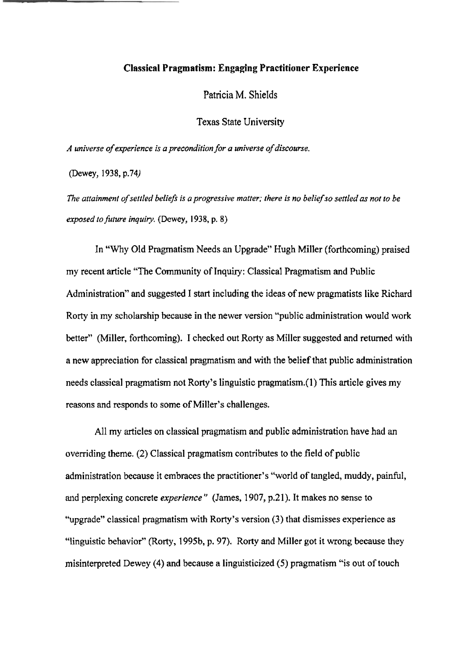#### **Classical Pragmatism: Engaging Practitioner Experience**

Patricia **M.** Shields

**Texas State University** 

**A** *universe* **of** *experience* **is** *a precondition for* .a *universe* **of discourse.** 

**(Dewey, 1938, p.74)** 

*The anainment* **of selrled** *belie\$* **is a** *progressive matter; there* **is** nu **belief so** *settled a3* **nor to** *be*  **exposed** *to* **future** *inquiry.* **(Dewey, 1938, p. 8)** 

**In "Why Old Pragmatism Needs an Upgrade" Hugh Miller** (forthcoming) **praised my recent article "The Community of Inquiry: Classical Pragmatism and Public Administration" and suggested I start including the ideas of new pragmatists like Richard Rosty** in **my scholarship because in the newer** version **"public administration wouId work**  better" **(Miller,** forthcoming). I **checked out Row** as **Miller suggested** and **returned** with **a new appreciation for dassical pragmatism** and **with** the **belief that public administration needs classical pragmatism not** Rorty's **linguistic pragrnatism.(l** ) **This article gives my reasons and responds to some of Miller's challenges.** 

**All my** articles **on classical pragmatism** and **public** administration **have** had an **overriding** theme. **(2) Classical pragmatism contributes to the** field **of public administration because it embraces the practitioner's "world of tangled, muddy, painful,** and **perplexing concrete experience** " **(James, 1907, p.2 1).** It makes **no sense to "upgrade" classical pragmatism with Rorty's version (3) that dismisses experience as ''Ilinguistic behavior"** (Rorty, **1995b, p. 97).** Rorty and Miller **got** it **wrong because** they **misinterpreted** Dewey **(4) and because a** linguisticized **(5)** pragmatism **"is out** of touch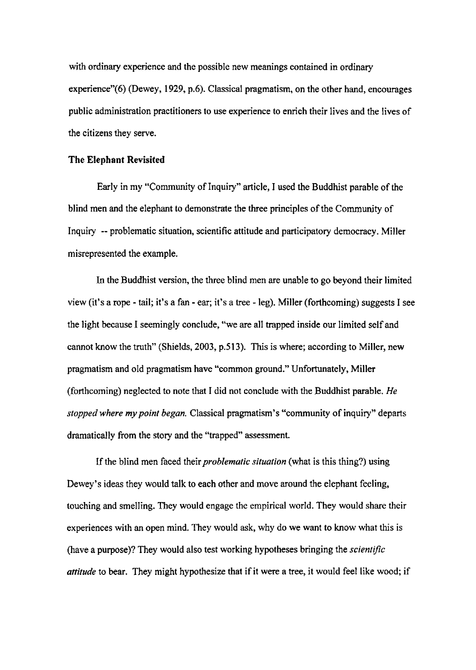with **ordinary experience and the possibIe** new **meanings contained in** ordinary experience"(6) (Dewey, 1929, p.6). Classical pragmatism, on the other hand, encourages **public administration practitioners to use experience to enrich their lives and the Iives** of **the citizens they** serve.

### **The Elephant Revisited**

Early in my "Community of Inquiry" article, I used the Buddhist parable of the **blind** men **and** the **elephant to demonstrate the three principles of** the Community of **Inquiry** -- **problematic situation, scientific attitude and participatory democracy. Miller misrepresented the example.** 

**In the Buddhist version,** the **three** blind men **are** unable **to go beyond** their limited **view (it" a ape** - **tail; it's a fan** - **ear; it's a tree** - **leg). Miller (forthcoming) suggests I see**  the **light because I seemingly conclude, "we are all trapped inside our limited self and**  cannot know the truth" (Shields, 2003, p.513). This is where; according to Miller, new pragmatism **and** old **pragmatism have "common ground." Unfortunately, Miller**  (forthcoming) **neglected 20 note that I did net conclude with the Buddhist parable, He**  *stopped where* **my** *point began.* Classical **pragmatism's "community of inquiry"** departs **dramatically from the** story **and** the **"trapped" assessment.** 

If the blind men faced their *problematic situation* (what is this thing?) using **Dewey's ideas they would talk to each** other **and move around the elephant feeling, touching and smeIIing. They would engage the empirical** world. **They would share their experiences with an open** mind. **They** would **ask,** why do **we want to know what** this is **(have a purpose)?** They **would** also **test working hypotheses bringing** the *scienfijk*  **attitude** to bear. They might **hypothesize that if it were a tree, it wouId feel like wood; if**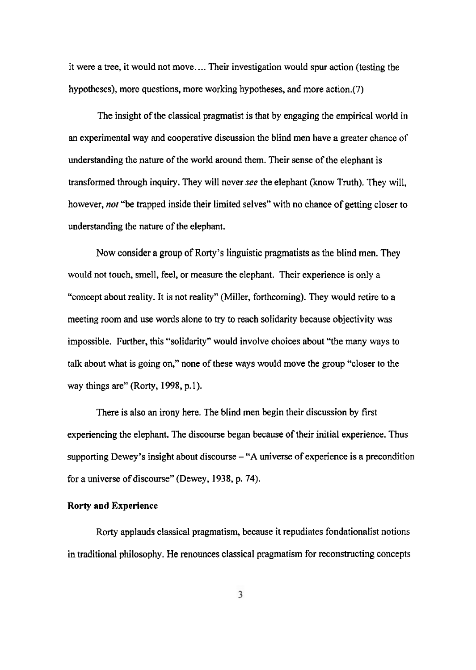it were **a** tree, **it** would not **move..** . . **Their investigation** would **spur** action (testing the hypotheses), more questions, more working hypotheses, and more action.(7)

**The insight of the classical pragmatist is that by engaging the empirical world in an experimental way and cooperative discussion the blind men have a greater chance of understanding the nature of the world around them. Their sense of the elephant is transformed through inquiry.** They **will never see the elephant (know Truth). They will,**  however, *nor* **"be trapped inside their limited selves" with no chance of getting closer to understanding the nature** of **the elephant.** 

Now **consider a group of Rorty's linguistic pragmatists as the blind men. They**  would **not touch, smell, feel, or measure the elephant. Their experience is only a "concept about reality. It is not reality"** (MiIIer, **forthcoming). They would retire** to **a**  meeting room **and use words** alone to **try** to **reach** solidarity because **objectivity** was **impossible. Further,** this **"solidarity" would involve choices about 'Yhe many ways to talk about what is going on," none of these ways would move the group "closer to the way things are"** (Rorty, **1998, p.** 1 ).

**There is also an irony here. The blind** men **begin** their **discussion by** first **experiencing** the **elephant** The **discourse began because of** their **initial experience. Thus supporting Dewey's insight about discourse** - **"A** universe **of experience is a precondition**  for a universe of discourse" (Dewey, 1938, p. 74).

#### **Rorty and Experience**

Rorty **applauds classical pragmatism, because it repudiates fondationalist notions in traditional philosophy. He renounces classical** pragmatism **for reconstructing** concepts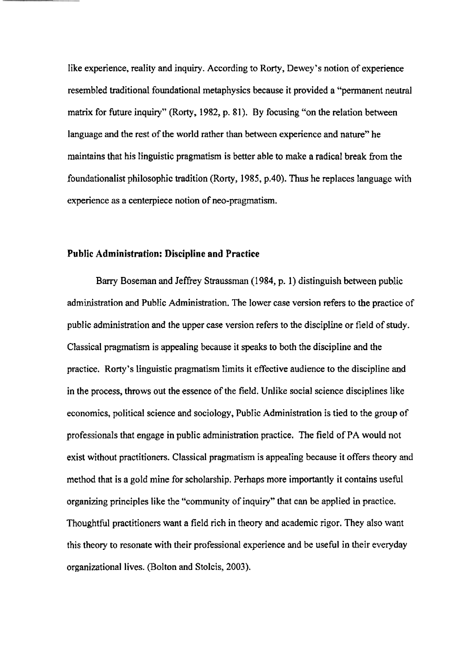**like experience, reality** and **inquiry. According** to Rorty, Dewey's notion of **experience resembled traditional foundational metaphysics because** it **provided** a '"permanent neutral **matrix for** future **inquiry"** (Rorty, **1982, p. 8 1). By focusing "on the** relation **between language and the rest of the world rather than between experience** and **nature" he maintains** that his **linguistic pragmatism is better able to make a radical break** from **the lbundationalist philosophic** tradition (Rorty, **1985, p.40).** Thus **he replaces language** with **experience as a cenlerpiece notion** of **neo-pragmatism.** 

### **PubIic Administration: Discipline and Practice**

Barry Bosernan and Jeffrey **Straussman** (1 **984, p. 1) distinguish between public**  administration and Public Administration. The lower case version refers to the practice of **public administration and the upper case version refem to the discipline or** field **of study. Classical pragmatism is appealing because it speaks to** both the **discipIine and the practice. Rorty 's linguistic pragmatism limits it effective audience to the discipline and in the process, throws out the essence** of **the field. Unlike social science disciplines like economics, political science and sociology, Public Administration is tied to** the **group of professionals** that **engage in public administration practice. The field of PA would not exist without practitioners. Classical pragmatism is appealing because it offers theory** and method **that is a** gold **mine for scholarship. Perhaps more importantly it contains** useful **organizing principles like** the "community of **inquiry"** that can be **applied in practice.**  Thoughthl **practitioners want a** field rich in **theory** and **academic rigor. They** also want **this theory to resonate** with **their** professional **experience and** be **useful in their everyday organizational lives. (Bolton and Stolcis,** 2003).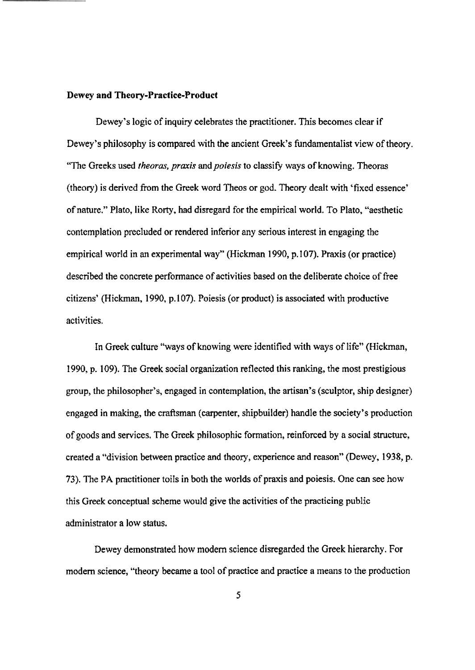#### **Dewey and Theory-Pmctice-Product**

**Dewey's logic of inquiry celebrates the** practitioner. This **becomes clear if Dewey's philosophy is compared** with **the** ancient **Greek's FundamentaIist view** of **theory. "The Greeks used** *theoras, praxis* **and** *poiesis* **to classify ways of knowing.** Theoras (theory) **is derived from the Greek word Theos or god. Theory dealt with 'fixed essence' of nature."** Plato, **like** Rorty, **had disregard for the empirjcaI world, To Plato, "aesthetic contemplation precluded or rendered inferior** any **serious** interest **in engaging** the **empirical world in an experimental way" (Hickman 1990, p.107). Praxis (or practice) described the concrete performance of activities based on the deliberate** choice of **free citizens' (Hickman, 1990, p. 107).** Poiesis **(or product) is associated** with **productive**  activities.

**In Greek** culture **"ways of knowing were identified with ways of life" (Hickman, 1990, p. 109). The Greek social organization reflected this ranking, the most prestigious group, the philosopher's, engaged in contemplation, the artisan's (sculptor, ship** designer) **engaged** in making, **the craftsman (carpenter, shipbuilder) handle the society" production of goods and** services, The **Greek philosophic** formation, reinforced **by a social structure, created a "division between practice and theory, experience and reason" (Dewey, 1938, p. 73). The PA practitioner** toiIs **in both the worlds of praxis** and **poiesis.** One **can see** how this **Greek conceptual scheme** would **give the activities of the practicing public administrator a low status.** 

**Dewey demonstrated how modem science disregarded the Greek** hierarchy. **For modern science, "theory became a tool of practice and practice a means** to the **production**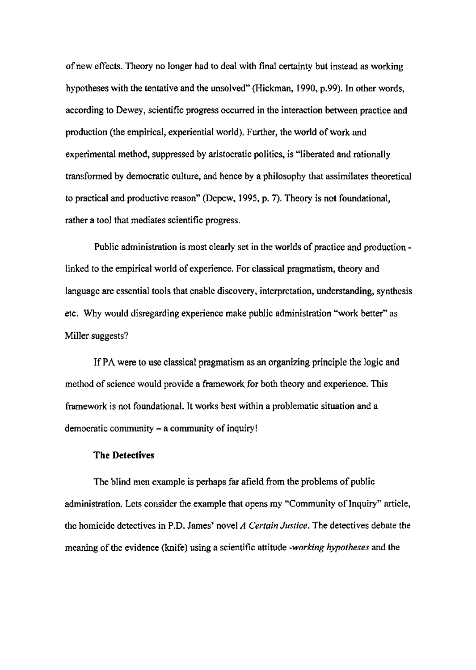**of new** effects. **Theory no longer had to** deal **with final certainty but** instead **as working hypotheses with the tentative and the unsolved"** (Hickman, **1990, p.99). In other words,**  according to Dewey, scientific progress occurred in the interaction between practice and **production (the empirical, experientia1 world). Further, the world of work and experimental method, suppressed by aristocratic politics, is "liberated and rationally**  transfomed **by democratic culture,** and **hence by a philosophy that assimilates** theoretical **to practical** and **productive reason" (Depew, 1995, p. 7). Theory is not foundational, rather a tool that mediates scientific progress.** 

Public **administration is most clearly set in the worIds of practice** and **production linked** to **the empirical world of experience, For classical pragmatism, theory and language are essential tools that enable discovery, interpretation, understanding, synthesis etc. Why would disregarding experience make public** administration **"work better" as Miller suggests?** 

If **PA were to use classical pragmatism as an organizing principle the logic and**  method **of science** wouId **provide a framework for both theory and experience. This framework is not** foundational. **It works best** within **a problematic situation and a democratic** community - **a community of inquiry!** 

#### **The Detectives**

The **blind men example is perhaps far afield from the problems of public administration. Lets consider the example that opens my "Community of Inquiry" article, the homicide detectives in P.D. James' novel A** *Certain* **Justice. The** detectives debate the meaning of **the evidence** (knife) **using a scientific attitude** *-working* **hypotheses** and the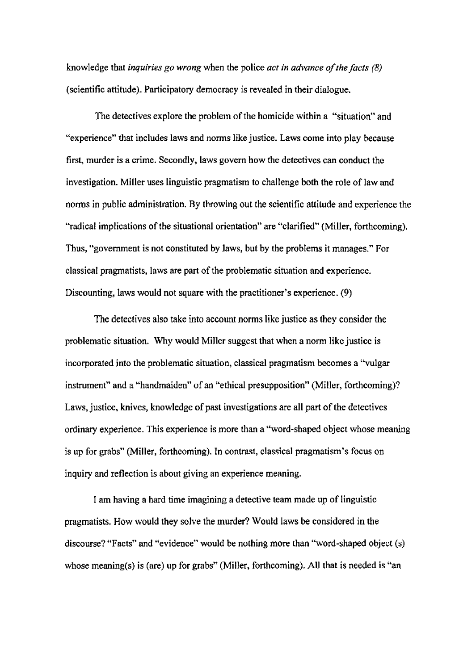**knowledge that** *inquiries go wrong* when the **police** *act* **in** *advance* **of** *the* **facts** *(8)*  **(scientific attitude). Participatory** democracy **is revealed in** their **dialogue.** 

**The detectives explore the problem of the homicide within a "situation" and "experience" 'that includes laws and** noms **like justice. Laws come** into **play because first,** murder **is a crime. Secondly, laws govern how the detectives can conduct the investigation. Miller uses linguistic pragmatism to challenge both the role of law nnd**  noms **in public** administration. By **throwing** out the **scientific** attitude and **experience** the **"radical implications** of the **situational orientation" are "clarified" (Miller,** forthcoming). **Thus, "government is not constituted by laws,** but **by the probIems it manages." For classicaI pragmatists, laws are part of the problematic** situation **and experience. Discounting, laws would not square with the practitioner's experience.** (9)

The detectives **also take** into **account norms like justice as they consider** the **problematic situation.** Why would Miller suggest that when a norm like justice is **incorporated into the problematic situation, classical pragmatism** becomes **a "vulgar**  instrument" **and** a "handmaiden" of **an "ethical presupposition" (Miller, forthcoming)? Laws, justice, knives, knowledge of past investigations are all part of the detectives ordinary experience. This experience is** more than **a "word-shaped** object **whose meaning is up for grabs" (Miller, forthcoming). In contrast, classical** pragmatism" **focus on inquiry and** reflection **is about giving an experience** meaning.

I **am having a** hard **time imagining a detective team made up of linguistic pragmatists. How would they solve the** murder? Would **laws be considered in the discourse?** "Facts" and **"evidence" would be nothing** more than **"word-shaped** object **(s)**  whose meaning(s) is (are) up for grabs" (Miller, forthcoming). All that is needed is "an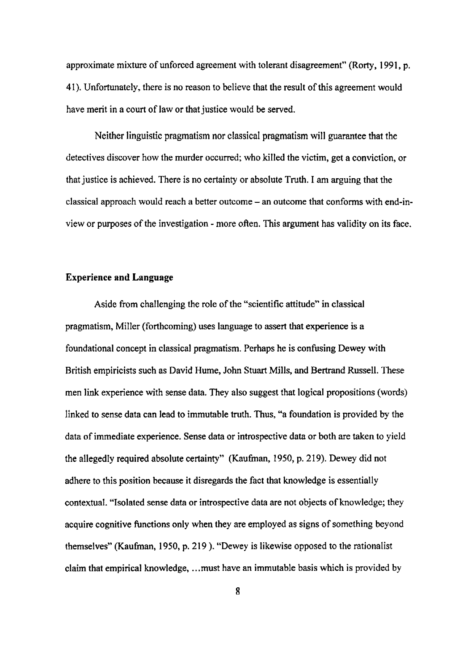approximate mixture of unforced agreement with tolerant disagreement" (Rorty, 1991, p. 41). **Unfortunately, there is no reason to believe that the result of this agreement would have merit in a court of law or that justice would be served.** 

**Neither linguistic pragmatism nor** c1assicaI **pragmatism will guarantee that the detectives** discover how the **murder** occurred; **who killed the victim, get a conviction, or**  that **justice is achieved. There is no certainty or absolute Truth. I am arguing that the classical approach** would **reach a** better **outcome** - **an outcome that confonns with end-inview or** purposes of the investigation - more often. 'This argument has **vnIidity on** its face.

# **Experience and Language**

Aside from challenging the role of the "scientific attitude" in classical **pragmatism,** Miller **(forthcoming) uses language to** assert **that experience is a foundational concept in classical pragmatism. Perhaps he is confusing Dewey with British empiricists such as David Hume,** John **Stuart Mills, and** Batrand **Russell. These men link experience with sense data. They also suggest that logical propsitions** (words) **linked to sense data can lead to immutable** truth. **Thus, "a foundation is provided by the data of immediate experience. Sense data or introspective data or both are taken to yield the** allegedIy **required absolute certainty" (Kaufman, 1950, p. 219). Dewey did** not **adhere** to this **position because it disregards the fact that knowledge is essentially contextual. "Isolated sense data or introspective data are not objects of knowledge; they acquire cognitive functions only when they are employed as signs of something beyond themselves" (Kauhan, 1950, p, 2 19** ). **"Dewey is likewise opposed to the rationaIist claim that empirical knowledge,** ... **must have an immutable basis which is provided by** 

**8**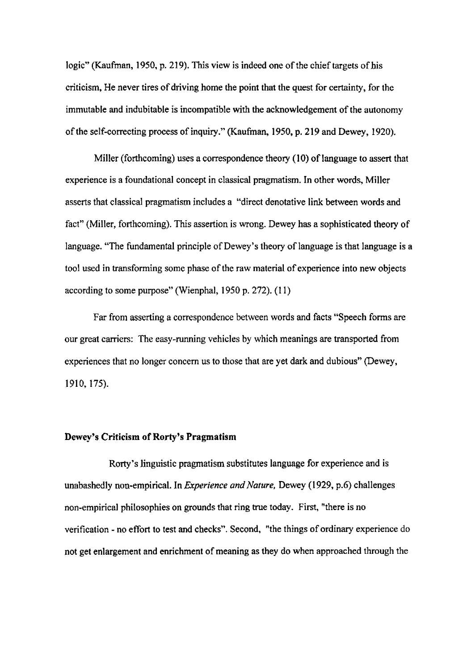**logic"' (Kaufman, 1950, p.** 219). This **view is indeed one of** the chief **targets** of **his criticism, He never tires of driving home the point that the quest for certainty, for the immutable and** indubitable **is incompatible** with **the acknowledgement of the autonomy of the self-correcting process of inquiry."** (Kaufman, **1950, p. 2 19 and Dewey, E** 920).

Miller **(forthcoming) uses a correspondence** theory **(1 0) of language to assert** that **experience is a foundational concept in classical pragmatism. In other words, Miller**  asserts that classical **pragmatism includes a "direct denotative link between words and**  fact" **(Miller,** forthcoming). **This** assertion **is wrong. Dewey has a sophisticated theory of language.** "The fundamental **principle of Dewey's theory of language is** that **language is a tool used in transforming some phase of** the **raw material** of **experience into new** objects according to some **purpose"** (Wienphal, **1950 p.** 272). (1 1)

Far from asserting **a correspondence between words and facts "Speech** forms **are**  our **great carriers: The easy-running vehicles by which meanings are transported from experiences** that **no longer** concern us **to those that** are **yet dark and** dubious" (Dewey, 1910, 175).

# **Dewey's Criticism of Rorty's Pragmatism**

**Rorty 's linguistic pragmatism substitutes language for experience and is unabashed1 y non-empirical. In** *Experience and Nature,* **Dewey** ( **1 929, p.6) c** ha1 **lenges non-empirical philosophies on grounds that ring true today. First, "there is no verification** - **no effort to test and checks". Second, "'the things of ordinary experience do not get enlargement and enrichment of meaning as they do when** approached through the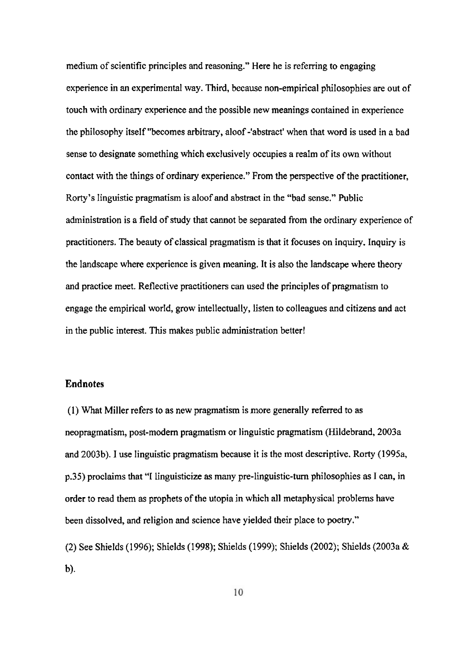**medium** of **scientific principles and reasoning." Here** he **is referring to engaging experience in an** experimental **way. Third,** because **non-empirical philosophies are out** of touch with ordinary **experience** and the **possible new meanings** contained in **experience**  the philosophy itself **"becomes** arbitrary, aloof **-'abstractt** when **that word is used** in **a bad sense** to **designate** something **which exclusively occupies** a **realm of its own without contact with the things of ordinary experience." From he perspective of** the **practitioner,**  Rorty **'s Iinguistic pragmatism is aloof and abstract in** the **"bad** sense." Public **administration is** a **field of study that** cannot be separated from **the ordinary experience of practitioners. The beauty of classical pragmatism is that it focuses on inquiry. Inquiry** is the **landscape** where **experience is given meaning. It is also the landscape where theory and practice meet. Reflective practitioners can used the principles of pragmatism** to **engage the empirical world, grow intellectually, listen to colleagues and citizens and act in the public interest.** Thjs **makes public administration better!** 

### **Endnotes**

**(1) What Miller refers to as new pragmatism is more generally referred to as neopragmatism, post-modern** pragmatism or linguistic **pragmatism (Hildebrand, 2003a and** 2003b). **I use linguistic pragmatism because it is the most descriptive.** Rorty **(1 995a, p.35) proclaims that** "I **linguisticize as many pre-linguistic-turn philosophies as I can, in order to** read **them as prophets of the utopia in which all metaphysical problems have been dissolved, and religion and science have yielded their place to poetry."** 

(2) **See Shields** (1 **996);** Shields (I **998); Shields (1999); Shields (2002); Shields** (2003a & **b**).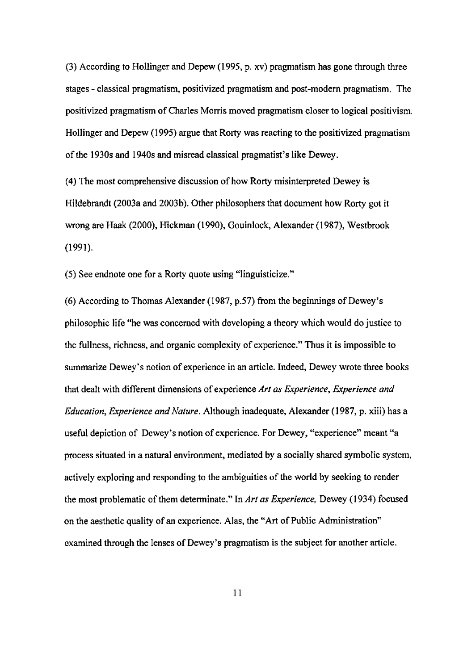**(3)** According **to** Hollinger **and Depew (1 995, p. xv) pragmatism has gone** through three **stages** - **classical** pragmatism, **positivized pragmatism** and **post-modern pragmatism. The positivized pragmatism of Charles Morris moved pragmatism closer to logical positivism. Hollinger and Depew (1 995) argue that** Rorty **was reacting to the positivized pragmatism of the 1930s and 1940s and misread classical pragmatist's like Dewey.** 

**(4) The most comprehensive discussion** of **how Rorty** misinterpreted **Dewey is Hildebrandt** (2003a **and 2003b). Other philosophers that document how** Rorty **got** it **wrong** are **Haak** (2000), Hickman **(1 9961, Gouinlock, Alexander (1 987), Westbrook (1 99 1).** 

**(5) See** endnote **one** for **a** Rorty **quote using "linguisticize."** 

**(6)** According **to** Thomas **Alexander** (1987, **p.57)** from the **beginnings of Dewey's**  philosophic **life "he** was concerned **with developing a theory** which would do **justice to the fullness, richness, and organic complexity** of **experience," Thus** it **is impossible to summarize Dewey's notion of experience in an** article. **Indeed,** Dewey wrote **three books**  that **dealt with different dimensions of experience Art as** *Experience, Experience and Education, Experience and Mure.* **Although inadequate, Alexander (1 987, p. xiii)** has a **useful** depiction of **Dewey's** notion **of experience. For Dewey, "experience" meant "a process situated in a natural environment, mediated by a socially shared symbolic system, actively exploring and responding to the ambiguities of the world by seeking to render**  the **most** problematic of them **determinate."** In **Art as** *Experience,* Dewey **(1** 934) **focused**  on **the aesthetic quality of an experience. Alas,** the **'&Art of** Public **Administration" examined through the lenses of Dewey's pragmatism is** the **subject** for another **article.** 

11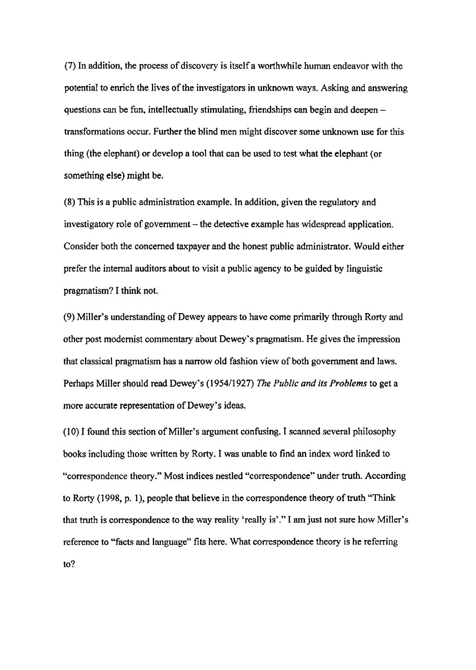**(7) In addition, the process of discovery is itself a worthwhile human endeavor** with the **potential to enrich the lives of the investigators in unknown ways. Asking and answering questions can be fun, intellectuaIly stimulating, friendships can begin and deepen transformations occur. Further the blind men might discover some** unknown **use for this thing (the elephant) or develop a tool that can** be **used to test what the elephant (or something else) might be.** 

**(8) This is a public administration example. In addition, given the regulatory and investigatory role of government** – the detective example has widespread application. **Consider** both **the concerned taxpayer** and **the honest public administrator. Would either prefer the internal auditors about to visit a public agency ta be guided by linguistic pragmatism? T think not.** 

(9) Miller's understanding of Dewey appears to have come primarily through Rorty and **other post modernist** commentary **about Dewey's pragmatism. He gives the impression that classical pragmatism** has **a narrow old fashion view of both government** and **laws. Perhaps Millet should read Dewey's (1 95411 927)** *me Public and* **its** *Problems* **to get a more accurate representation of Dewey's ideas.** 

**(1 0) 1 found** this **section of Miller's argument confusing. I scanned several phiIosophy books including** those written **by** Rorty. **I was unable to find an index word linked to**  "correspondence theory." Most indices nestled "correspondence" under truth. According **to** Rorty **(1998, p. 11, people that believe in the correspondence** theory **of** truth **"Think that** truth **is correspondence to the way reality "really is'." I am just not sure** how Miller's **reference to "facts and language" fits here. What correspondence** theory **is he** referring **to?**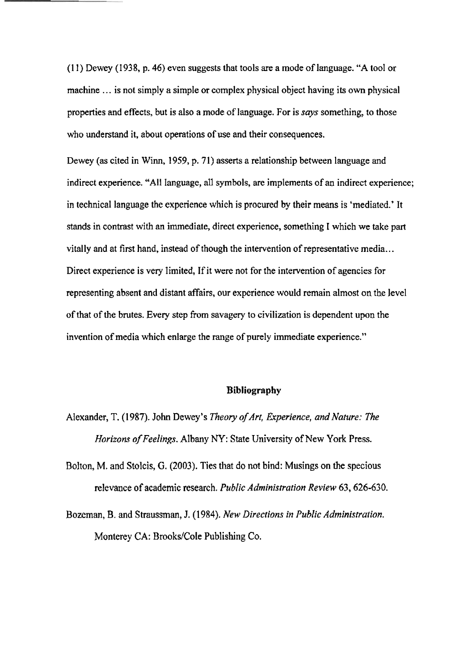**(1** <sup>I</sup>) Dewey **(1938, p. 46) even suggests that tools are a mode of** language. **"A too1 or**  machine ... is not simply a simple or complex physical object having its own physical **properties and effects, but is also a mode of language. For is says** something, *to* **those**  who **understand it, about** operations **of use md** their consequences.

**Dewey (as cited** in **Winn, 1959, p. 71) asserts a relationship between language** and indirect experience. "All language, all symbols, are implements of an indirect experience; **in technical language the experience** which **is procured by their means is 'mediated.' It stands** in **contrast** with **an immediate, direct experience, something I** which **we take part**  vitally and at first hand, instead of though the intervention of representative media... **Direct experience is** very limited, If it **were** not **for the intervention of agencies for**  representing absent and distant affairs, our experience would remain almost on the level **of** that of **the** brutes. **Every step** hrn **savagery to civilization is dependent upon** the **invention** of media **which enlarge** the range of **purely immediate experience."** 

## **Bibliography**

- **Alexander,** T. **(1** *987).* **John Dewey's** *Theory ofArt,* **Experience,** *and Nature: The Horizons oj'Feelings,* **Albany WY: State University of New York Press.**
- **Bolton, M. and Stolcis, G. (2003). Ties that do** not **bind: Musings on the specious relevance** of academic research. *Public Administration Review 63,626-630.*
- Bozeman, **B.** and **Straussrnan, J. (1984).** *New Directions* **in** *Public Administrution.*  **Monterey CA: Brooks/Cole Publishing Co.**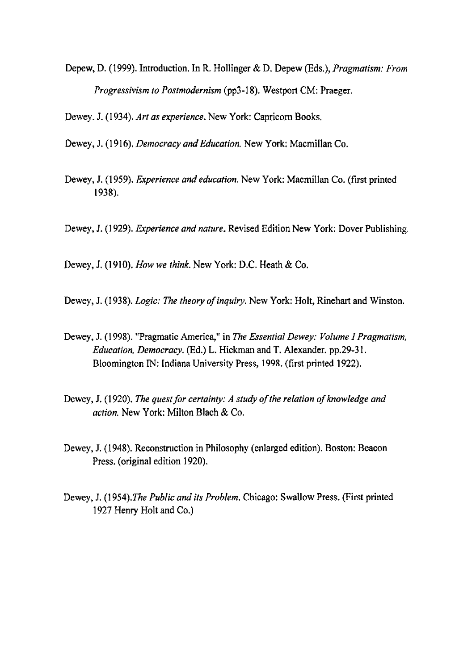**Depew, D. (1 999). Introduction. In** R. **Hollinger** & **D. Depew (Eds.),** *Pragmatism: From Progressivism to Postmodernism* **(pp3** - 1 **8). Westport CM: Praeger.** 

Dewey. J. (1 **934). Arf as** *experience.* **New York:** Capricorn **Books.** 

**Dewey, J.** *(1 91* **6).** *Democracy* **and** *Educafion.* **New Ymk:** Macrnillan **Co.** 

- Dewey, J. (1959). *Experience and education*. New York: Macmillan Co. (first printed **1938).**
- **Dewey,** J. (1 929). **Experience** *and nature,* **Revised** Edition **New York: Dover Publishing,**

**Dewey, 3. (1 91** 0). *How* **we** *think.* **New York: D.C.** Heath & **Co.** 

Dewey, J. (1938). *Logic: The theory of inquiry*. New York: Holt, Rinehart and Winston.

- **Dewey,** J. ( 1 **998). "Pragmatic America," in** *The Essential Dewey: Volume I Prapafisrn, Education, Democracy.* (Ed.) L. Hickman **and T. Alexander. pp.29-3** 1. **Bloornington IN:** Indiana University **Press, 1998. (first** printed **1922).**
- Dewey, J. (1920). The quest for certainty: A study of the relation of knowledge and *action.* **New York:** Milton Blach & **CO.**
- Dewey, **J. (1 948). Reconstruction in Philosophy (enlarged edition).** Boston: **Beacon**  Press. **(original** edition 1920).
- Dewey, J. (1 **954).The** *Public and* **its** *Probiem.* Chicago: **Swallow Press. (First printed**  1927 Henry Holt and Co.)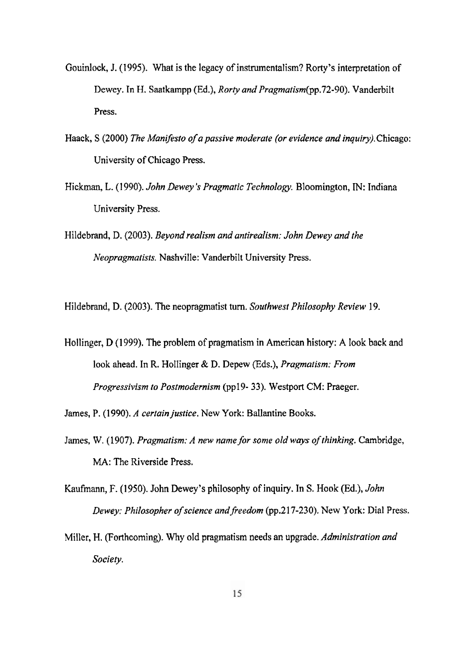- **Gouidock,** J. **(1995). What is** the **legacy** of instrumentalism? Rorty's **interpretation** of **Dewey. In** H, **Saatkampp** (Ed.), *Rory and* **PragmaiismCpp.72-90). Vanderbilt Press.**
- *Haack, S (2000) The Manifesto of a passive moderate (or evidence and inquiry). Chicago:* University **of** Chicago **Press,**
- Hickman, **L.** (1 990). *John Dewey* **5** *Pragmaric Technology.* Bloomington, **IN:** Indiana **University** Press.
- Hi **lde** brand, **D.** (2003). *Beyond realism and antirealism: John Dewey* **and** *the Neopragmafists.* **Nashville: Vanderbilt University Press.**

Hildebrand, **D.** (2003). The **neopragmatist** turn. *Southwest Philosophy Review* 19.

Holli nger, **D (1** 999). The **problem** of **pragmatism in American history: A look back and**  look ahead. In R. Hollinger & D. Depew (Eds.), *Pragmatism: From* Progressivism *to Postmodernism* **(pp** 19- **33). Westport CM: Praeger.** 

James, P. (1 990). *A cerlain justice.* **New York: BaIlantine Books.** 

- James, W. (1907). Pragmatism: A new name for some old ways of thinking. Cambridge, **MA:** The **Riverside** Press.
- **Kaufmann,** F. **(1951)).** John **Dewey's** philosophy of **inquiry. In S. Hook (Ed.),** *John Dewey: PhiIosopher* **of** *science andfreedom* **(pp.217-230).** New **York: Dial** Press.
- Miller, H. (Forthcoming). Why old **pragmatism** needs an **upgrade.** *Administration and Sociep.*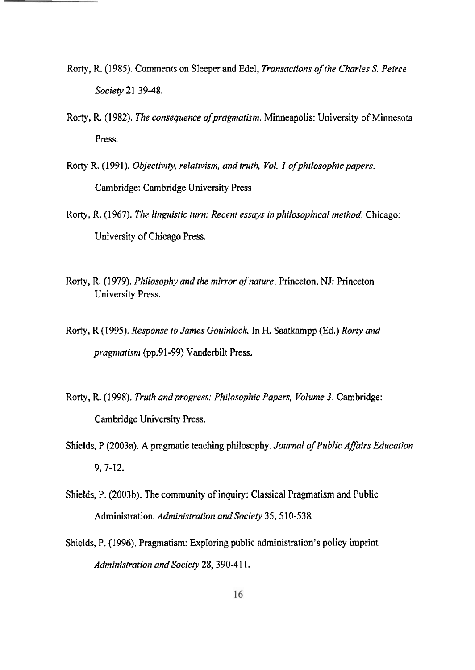- **Rorty, R** (1 **985). Comments on** *Sleeper and* Edel, *Transactions of the Charles S. Peirce*  **Society 21 39-48.**
- Rorty, R. (1982). *The consequence of pragmatism*. Minneapolis: University of Minnesota **Press.**
- Rorty R. (1991). Objectivity, relativism, and truth, Vol. 1 of philosophic papers. Cambridge: **Cambridge University Press**
- Rorty , **R.** ( *1 967). The Iinpistic turn: Recent* **essays** *in philosophica! method.* **Chicago:**  University of **Chicago Press.**
- Rorty, R. (1 **979).** *Philosophy and the mirror ofnarure.* **Princeton,** NJ: **Princeton University** Press.
- Rorty, R **(1995).** *Response* **lo** *James Gouinlock.* **In** H. **Saatkampp** (Ed.) *Rorty and pragmalism* **(pp.9 1-99)** Vanderbilt Press.
- Rorty, R. (1998). *Truth and progress: Philosophic Papers, Volume 3.* Cambridge: **Cambridge University Press.**
- **Shields, P** (2003a). **A pragmatic reaching philosophy.** *Journal* **of** *Public* **Afofrs** *Educarion*  **9,7-** 12.
- Shields, P. **(2003b).** The community of inquiry: **Classical** Pragmatism **and Public**  Administration. *Administration and Society* 35, 510-538.
- **Shields, P. (1996). Pragmatism: Exploring** public **administration's policy** imprint. *Admhisrration and Society* **28,390-4** 1 **1.**